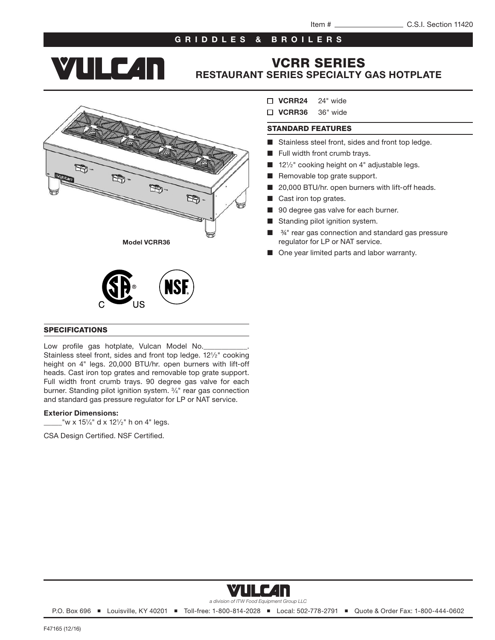## GRIDDLES & BROILERS

**YTILE 4n** 

## VCRR SERIES RESTAURANT SERIES SPECIALTY GAS HOTPLATE





#### SPECIFICATIONS

Low profile gas hotplate, Vulcan Model No. Stainless steel front, sides and front top ledge. 121/2" cooking height on 4" legs. 20,000 BTU/hr. open burners with lift-off heads. Cast iron top grates and removable top grate support. Full width front crumb trays. 90 degree gas valve for each burner. Standing pilot ignition system. 3⁄4" rear gas connection and standard gas pressure regulator for LP or NAT service.

#### Exterior Dimensions:

 $2$ <sup>"</sup>w x 15¼" d x 12½" h on 4" legs.

CSA Design Certified. NSF Certified.

- $\Box$  VCRR24  $24"$  wide
- VCRR36 36" wide

#### STANDARD FEATURES

- Stainless steel front, sides and front top ledge.
- Full width front crumb trays.
- 121/2" cooking height on 4" adjustable legs.
- Removable top grate support.
- 20,000 BTU/hr. open burners with lift-off heads.
- Cast iron top grates.
- 90 degree gas valve for each burner.
- Standing pilot ignition system.
- $34"$  rear gas connection and standard gas pressure regulator for LP or NAT service.
- One year limited parts and labor warranty.